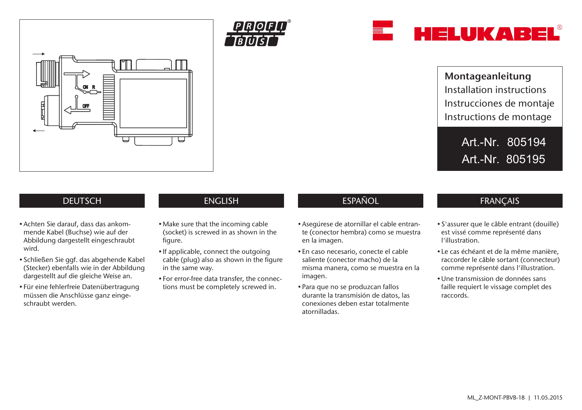

HELUKAREL

Art.-Nr. 805194 Art.-Nr. 805195

# **DEUTSCH**

- Achten Sie darauf, dass das ankommende Kabel (Buchse) wie auf der Abbildung dargestellt eingeschraubt wird.
- Schließen Sie ggf. das abgehende Kabel (Stecker) ebenfalls wie in der Abbildung dargestellt auf die gleiche Weise an.
- Für eine fehlerfreie Datenübertragung müssen die Anschlüsse ganz eingeschraubt werden.

*PROF* 

- Make sure that the incoming cable (socket) is screwed in as shown in the figure.
- If applicable, connect the outgoing cable (plug) also as shown in the figure in the same way.
- For error-free data transfer, the connections must be completely screwed in.

## ENGLISH ESPAÑOL FRANÇAIS

- Asegúrese de atornillar el cable entrante (conector hembra) como se muestra en la imagen.
- En caso necesario, conecte el cable saliente (conector macho) de la misma manera, como se muestra en la imagen.
- Para que no se produzcan fallos durante la transmisión de datos, las conexiones deben estar totalmente atornilladas.

- S'assurer que le câble entrant (douille) est vissé comme représenté dans l'illustration.
- Le cas échéant et de la même manière, raccorder le câble sortant (connecteur) comme représenté dans l'illustration.
- •Une transmission de données sans faille requiert le vissage complet des raccords.